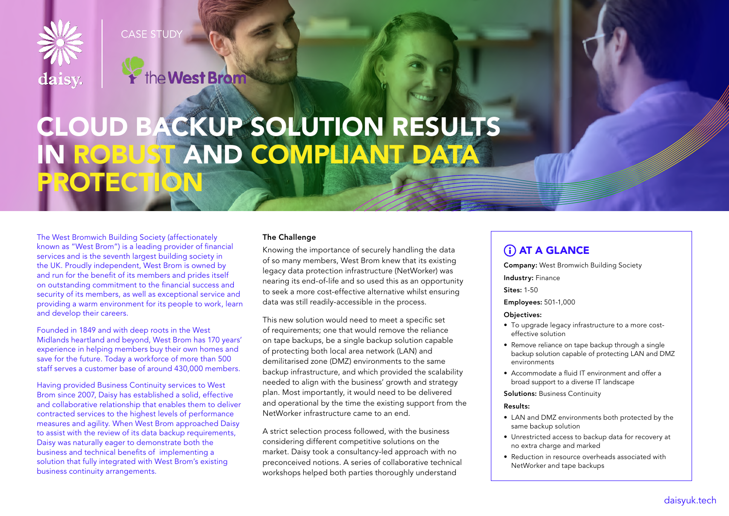

**CASE STUDY** 



# CLOUD BACKUP SOLUTION RESULTS IN ROBUST AND COMPLIANT DATA PROTECTION

The West Bromwich Building Society (affectionately known as "West Brom") is a leading provider of financial services and is the seventh largest building society in the UK. Proudly independent, West Brom is owned by and run for the benefit of its members and prides itself on outstanding commitment to the financial success and security of its members, as well as exceptional service and providing a warm environment for its people to work, learn and develop their careers.

Founded in 1849 and with deep roots in the West Midlands heartland and beyond, West Brom has 170 years' experience in helping members buy their own homes and save for the future. Today a workforce of more than 500 staff serves a customer base of around 430,000 members.

Having provided Business Continuity services to West Brom since 2007, Daisy has established a solid, effective and collaborative relationship that enables them to deliver contracted services to the highest levels of performance measures and agility. When West Brom approached Daisy to assist with the review of its data backup requirements, Daisy was naturally eager to demonstrate both the business and technical benefits of implementing a solution that fully integrated with West Brom's existing business continuity arrangements.

# The Challenge

Knowing the importance of securely handling the data of so many members, West Brom knew that its existing legacy data protection infrastructure (NetWorker) was nearing its end-of-life and so used this as an opportunity to seek a more cost-effective alternative whilst ensuring data was still readily-accessible in the process.

This new solution would need to meet a specific set of requirements; one that would remove the reliance on tape backups, be a single backup solution capable of protecting both local area network (LAN) and demilitarised zone (DMZ) environments to the same backup infrastructure, and which provided the scalability needed to align with the business' growth and strategy plan. Most importantly, it would need to be delivered and operational by the time the existing support from the NetWorker infrastructure came to an end.

A strict selection process followed, with the business considering different competitive solutions on the market. Daisy took a consultancy-led approach with no preconceived notions. A series of collaborative technical workshops helped both parties thoroughly understand

# **GLANCE**

Company: West Bromwich Building Society

Industry: Finance

Sites: 1-50

Employees: 501-1,000

#### Objectives:

- To upgrade legacy infrastructure to a more costeffective solution
- Remove reliance on tape backup through a single backup solution capable of protecting LAN and DMZ environments
- Accommodate a fluid IT environment and offer a broad support to a diverse IT landscape

Solutions: Business Continuity

#### Results:

- LAN and DMZ environments both protected by the same backup solution
- Unrestricted access to backup data for recovery at no extra charge and marked
- Reduction in resource overheads associated with NetWorker and tape backups